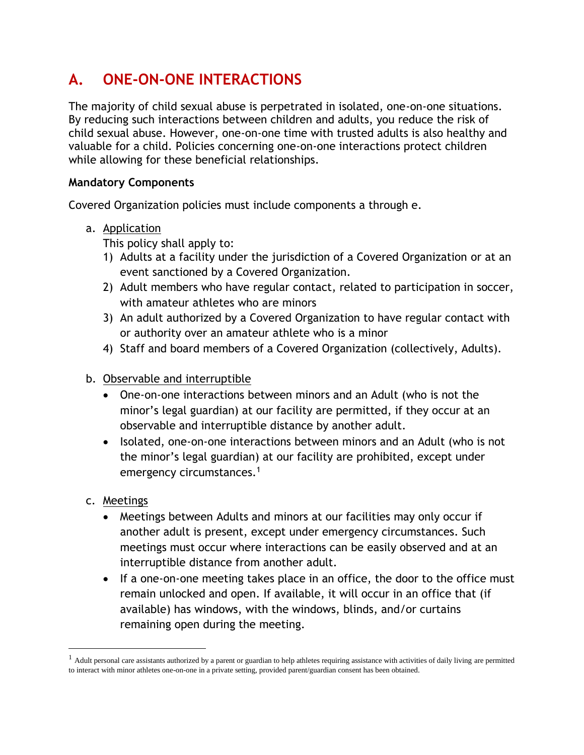# **A. ONE-ON-ONE INTERACTIONS**

The majority of child sexual abuse is perpetrated in isolated, one-on-one situations. By reducing such interactions between children and adults, you reduce the risk of child sexual abuse. However, one-on-one time with trusted adults is also healthy and valuable for a child. Policies concerning one-on-one interactions protect children while allowing for these beneficial relationships.

### **Mandatory Components**

Covered Organization policies must include components a through e.

a. Application

This policy shall apply to:

- 1) Adults at a facility under the jurisdiction of a Covered Organization or at an event sanctioned by a Covered Organization.
- 2) Adult members who have regular contact, related to participation in soccer, with amateur athletes who are minors
- 3) An adult authorized by a Covered Organization to have regular contact with or authority over an amateur athlete who is a minor
- 4) Staff and board members of a Covered Organization (collectively, Adults).
- b. Observable and interruptible
	- One-on-one interactions between minors and an Adult (who is not the minor's legal guardian) at our facility are permitted, if they occur at an observable and interruptible distance by another adult.
	- Isolated, one-on-one interactions between minors and an Adult (who is not the minor's legal guardian) at our facility are prohibited, except under emergency circumstances.<sup>1</sup>
- c. Meetings
	- Meetings between Adults and minors at our facilities may only occur if another adult is present, except under emergency circumstances. Such meetings must occur where interactions can be easily observed and at an interruptible distance from another adult.
	- If a one-on-one meeting takes place in an office, the door to the office must remain unlocked and open. If available, it will occur in an office that (if available) has windows, with the windows, blinds, and/or curtains remaining open during the meeting.

 $<sup>1</sup>$  Adult personal care assistants authorized by a parent or guardian to help athletes requiring assistance with activities of daily living are permitted</sup> to interact with minor athletes one-on-one in a private setting, provided parent/guardian consent has been obtained.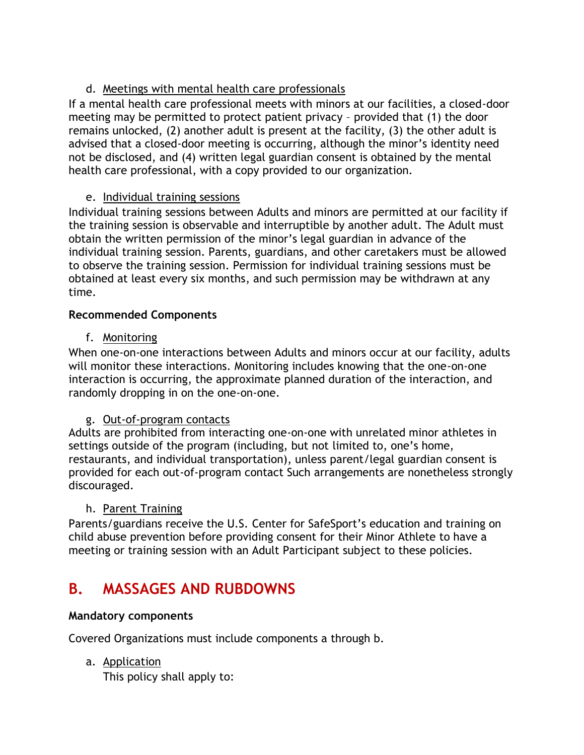## d. Meetings with mental health care professionals

If a mental health care professional meets with minors at our facilities, a closed-door meeting may be permitted to protect patient privacy – provided that (1) the door remains unlocked, (2) another adult is present at the facility, (3) the other adult is advised that a closed-door meeting is occurring, although the minor's identity need not be disclosed, and (4) written legal guardian consent is obtained by the mental health care professional, with a copy provided to our organization.

## e. Individual training sessions

Individual training sessions between Adults and minors are permitted at our facility if the training session is observable and interruptible by another adult. The Adult must obtain the written permission of the minor's legal guardian in advance of the individual training session. Parents, guardians, and other caretakers must be allowed to observe the training session. Permission for individual training sessions must be obtained at least every six months, and such permission may be withdrawn at any time.

### **Recommended Components**

### f. Monitoring

When one-on-one interactions between Adults and minors occur at our facility, adults will monitor these interactions. Monitoring includes knowing that the one-on-one interaction is occurring, the approximate planned duration of the interaction, and randomly dropping in on the one-on-one.

### g. Out-of-program contacts

Adults are prohibited from interacting one-on-one with unrelated minor athletes in settings outside of the program (including, but not limited to, one's home, restaurants, and individual transportation), unless parent/legal guardian consent is provided for each out-of-program contact Such arrangements are nonetheless strongly discouraged.

### h. Parent Training

Parents/guardians receive the U.S. Center for SafeSport's education and training on child abuse prevention before providing consent for their Minor Athlete to have a meeting or training session with an Adult Participant subject to these policies.

# **B. MASSAGES AND RUBDOWNS**

### **Mandatory components**

Covered Organizations must include components a through b.

a. Application

This policy shall apply to: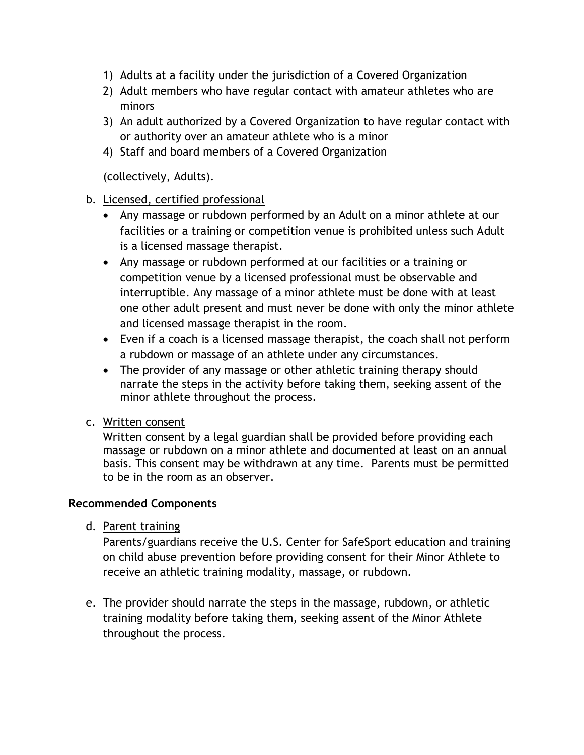- 1) Adults at a facility under the jurisdiction of a Covered Organization
- 2) Adult members who have regular contact with amateur athletes who are minors
- 3) An adult authorized by a Covered Organization to have regular contact with or authority over an amateur athlete who is a minor
- 4) Staff and board members of a Covered Organization

(collectively, Adults).

#### b. Licensed, certified professional

- Any massage or rubdown performed by an Adult on a minor athlete at our facilities or a training or competition venue is prohibited unless such Adult is a licensed massage therapist.
- Any massage or rubdown performed at our facilities or a training or competition venue by a licensed professional must be observable and interruptible. Any massage of a minor athlete must be done with at least one other adult present and must never be done with only the minor athlete and licensed massage therapist in the room.
- Even if a coach is a licensed massage therapist, the coach shall not perform a rubdown or massage of an athlete under any circumstances.
- The provider of any massage or other athletic training therapy should narrate the steps in the activity before taking them, seeking assent of the minor athlete throughout the process.
- c. Written consent

Written consent by a legal guardian shall be provided before providing each massage or rubdown on a minor athlete and documented at least on an annual basis. This consent may be withdrawn at any time. Parents must be permitted to be in the room as an observer.

#### **Recommended Components**

d. Parent training

Parents/guardians receive the U.S. Center for SafeSport education and training on child abuse prevention before providing consent for their Minor Athlete to receive an athletic training modality, massage, or rubdown.

e. The provider should narrate the steps in the massage, rubdown, or athletic training modality before taking them, seeking assent of the Minor Athlete throughout the process.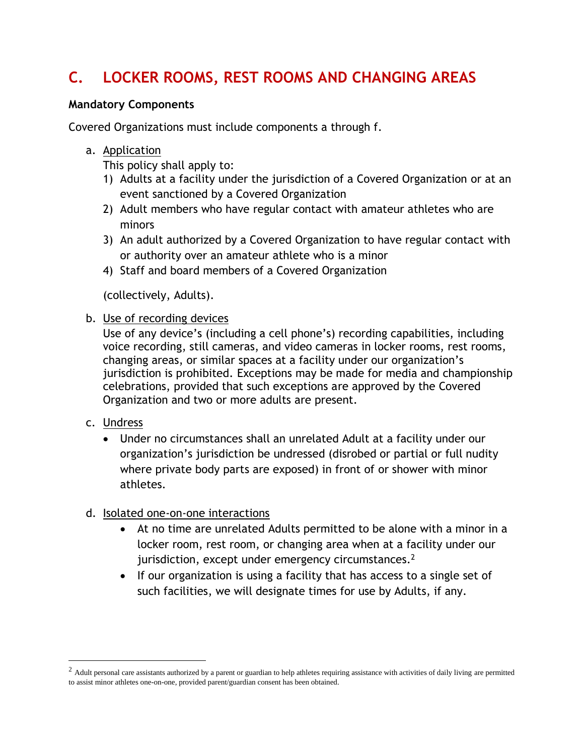# **C. LOCKER ROOMS, REST ROOMS AND CHANGING AREAS**

#### **Mandatory Components**

Covered Organizations must include components a through f.

#### a. Application

This policy shall apply to:

- 1) Adults at a facility under the jurisdiction of a Covered Organization or at an event sanctioned by a Covered Organization
- 2) Adult members who have regular contact with amateur athletes who are minors
- 3) An adult authorized by a Covered Organization to have regular contact with or authority over an amateur athlete who is a minor
- 4) Staff and board members of a Covered Organization

(collectively, Adults).

#### b. Use of recording devices

Use of any device's (including a cell phone's) recording capabilities, including voice recording, still cameras, and video cameras in locker rooms, rest rooms, changing areas, or similar spaces at a facility under our organization's jurisdiction is prohibited. Exceptions may be made for media and championship celebrations, provided that such exceptions are approved by the Covered Organization and two or more adults are present.

### c. Undress

• Under no circumstances shall an unrelated Adult at a facility under our organization's jurisdiction be undressed (disrobed or partial or full nudity where private body parts are exposed) in front of or shower with minor athletes.

### d. Isolated one-on-one interactions

- At no time are unrelated Adults permitted to be alone with a minor in a locker room, rest room, or changing area when at a facility under our jurisdiction, except under emergency circumstances. $2$
- If our organization is using a facility that has access to a single set of such facilities, we will designate times for use by Adults, if any.

 $2$  Adult personal care assistants authorized by a parent or guardian to help athletes requiring assistance with activities of daily living are permitted to assist minor athletes one-on-one, provided parent/guardian consent has been obtained.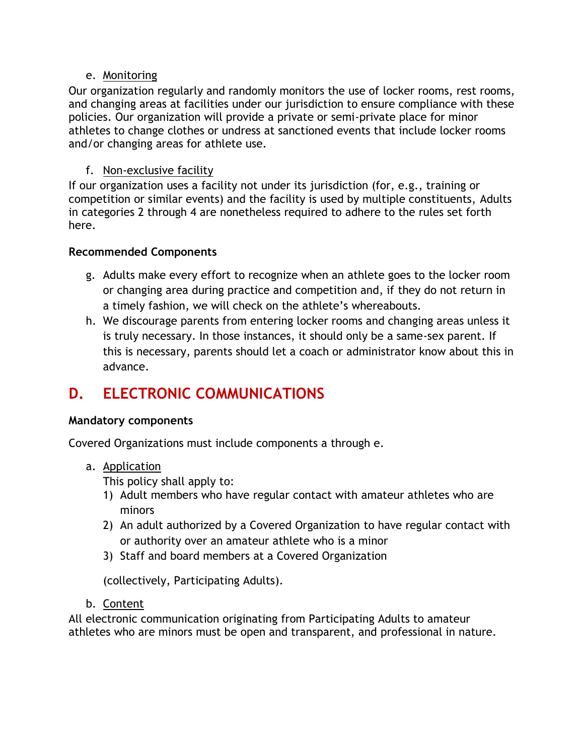### e. Monitoring

Our organization regularly and randomly monitors the use of locker rooms, rest rooms, and changing areas at facilities under our jurisdiction to ensure compliance with these policies. Our organization will provide a private or semi-private place for minor athletes to change clothes or undress at sanctioned events that include locker rooms and/or changing areas for athlete use.

### f. Non-exclusive facility

If our organization uses a facility not under its jurisdiction (for, e.g., training or competition or similar events) and the facility is used by multiple constituents, Adults in categories 2 through 4 are nonetheless required to adhere to the rules set forth here.

### **Recommended Components**

- g. Adults make every effort to recognize when an athlete goes to the locker room or changing area during practice and competition and, if they do not return in a timely fashion, we will check on the athlete's whereabouts.
- h. We discourage parents from entering locker rooms and changing areas unless it is truly necessary. In those instances, it should only be a same-sex parent. If this is necessary, parents should let a coach or administrator know about this in advance.

# **D. ELECTRONIC COMMUNICATIONS**

### **Mandatory components**

Covered Organizations must include components a through e.

a. Application

This policy shall apply to:

- 1) Adult members who have regular contact with amateur athletes who are minors
- 2) An adult authorized by a Covered Organization to have regular contact with or authority over an amateur athlete who is a minor
- 3) Staff and board members at a Covered Organization

(collectively, Participating Adults).

b. Content

All electronic communication originating from Participating Adults to amateur athletes who are minors must be open and transparent, and professional in nature.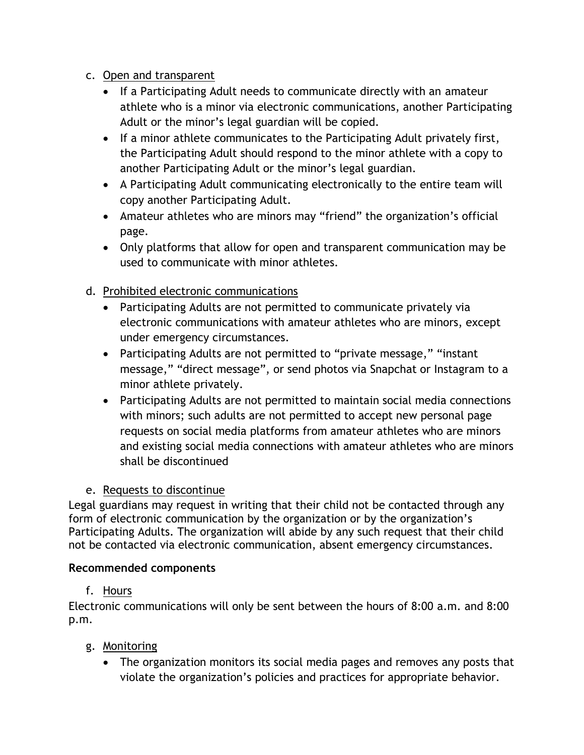- c. Open and transparent
	- If a Participating Adult needs to communicate directly with an amateur athlete who is a minor via electronic communications, another Participating Adult or the minor's legal guardian will be copied.
	- If a minor athlete communicates to the Participating Adult privately first, the Participating Adult should respond to the minor athlete with a copy to another Participating Adult or the minor's legal guardian.
	- A Participating Adult communicating electronically to the entire team will copy another Participating Adult.
	- Amateur athletes who are minors may "friend" the organization's official page.
	- Only platforms that allow for open and transparent communication may be used to communicate with minor athletes.

## d. Prohibited electronic communications

- Participating Adults are not permitted to communicate privately via electronic communications with amateur athletes who are minors, except under emergency circumstances.
- Participating Adults are not permitted to "private message," "instant message," "direct message", or send photos via Snapchat or Instagram to a minor athlete privately.
- Participating Adults are not permitted to maintain social media connections with minors; such adults are not permitted to accept new personal page requests on social media platforms from amateur athletes who are minors and existing social media connections with amateur athletes who are minors shall be discontinued

## e. Requests to discontinue

Legal guardians may request in writing that their child not be contacted through any form of electronic communication by the organization or by the organization's Participating Adults. The organization will abide by any such request that their child not be contacted via electronic communication, absent emergency circumstances.

### **Recommended components**

## f. Hours

Electronic communications will only be sent between the hours of 8:00 a.m. and 8:00 p.m.

- g. Monitoring
	- The organization monitors its social media pages and removes any posts that violate the organization's policies and practices for appropriate behavior.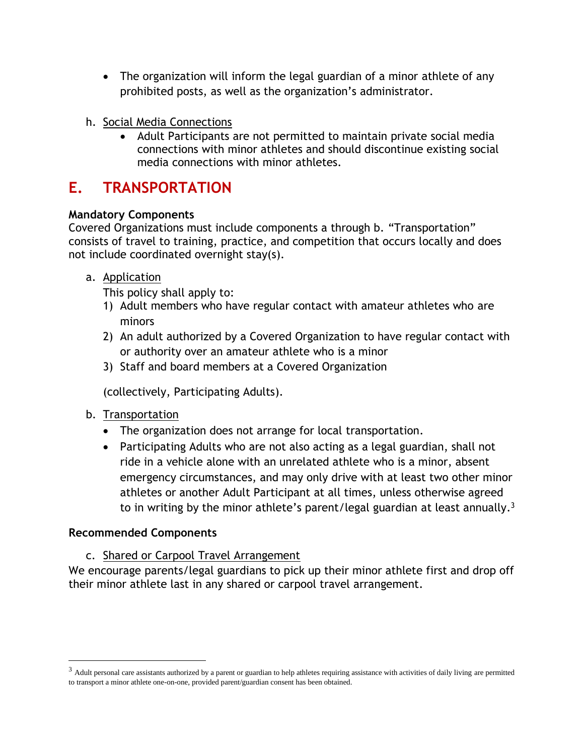- The organization will inform the legal guardian of a minor athlete of any prohibited posts, as well as the organization's administrator.
- h. Social Media Connections
	- Adult Participants are not permitted to maintain private social media connections with minor athletes and should discontinue existing social media connections with minor athletes.

# **E. TRANSPORTATION**

## **Mandatory Components**

Covered Organizations must include components a through b. "Transportation" consists of travel to training, practice, and competition that occurs locally and does not include coordinated overnight stay(s).

## a. Application

This policy shall apply to:

- 1) Adult members who have regular contact with amateur athletes who are minors
- 2) An adult authorized by a Covered Organization to have regular contact with or authority over an amateur athlete who is a minor
- 3) Staff and board members at a Covered Organization

(collectively, Participating Adults).

### b. Transportation

- The organization does not arrange for local transportation.
- Participating Adults who are not also acting as a legal guardian, shall not ride in a vehicle alone with an unrelated athlete who is a minor, absent emergency circumstances, and may only drive with at least two other minor athletes or another Adult Participant at all times, unless otherwise agreed to in writing by the minor athlete's parent/legal guardian at least annually.<sup>3</sup>

### **Recommended Components**

c. Shared or Carpool Travel Arrangement

We encourage parents/legal guardians to pick up their minor athlete first and drop off their minor athlete last in any shared or carpool travel arrangement.

 $3$  Adult personal care assistants authorized by a parent or guardian to help athletes requiring assistance with activities of daily living are permitted to transport a minor athlete one-on-one, provided parent/guardian consent has been obtained.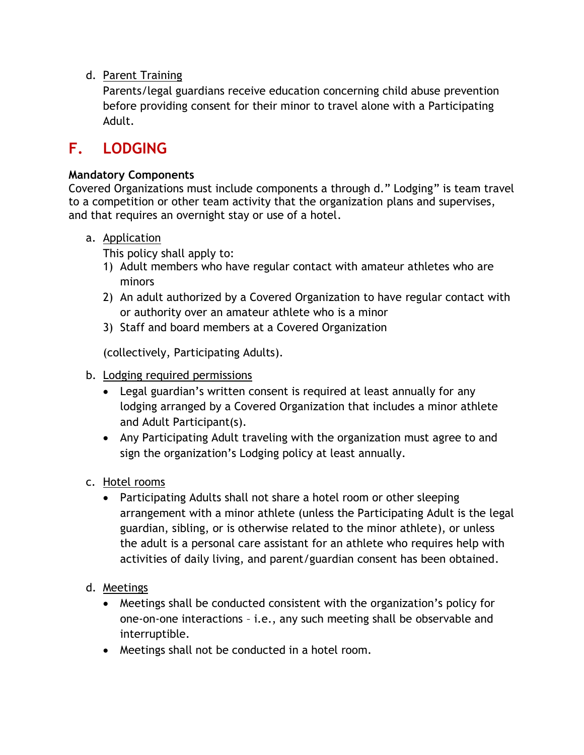## d. Parent Training

Parents/legal guardians receive education concerning child abuse prevention before providing consent for their minor to travel alone with a Participating Adult.

# **F. LODGING**

### **Mandatory Components**

Covered Organizations must include components a through d." Lodging" is team travel to a competition or other team activity that the organization plans and supervises, and that requires an overnight stay or use of a hotel.

#### a. Application

This policy shall apply to:

- 1) Adult members who have regular contact with amateur athletes who are minors
- 2) An adult authorized by a Covered Organization to have regular contact with or authority over an amateur athlete who is a minor
- 3) Staff and board members at a Covered Organization

(collectively, Participating Adults).

- b. Lodging required permissions
	- Legal guardian's written consent is required at least annually for any lodging arranged by a Covered Organization that includes a minor athlete and Adult Participant(s).
	- Any Participating Adult traveling with the organization must agree to and sign the organization's Lodging policy at least annually.
- c. Hotel rooms
	- Participating Adults shall not share a hotel room or other sleeping arrangement with a minor athlete (unless the Participating Adult is the legal guardian, sibling, or is otherwise related to the minor athlete), or unless the adult is a personal care assistant for an athlete who requires help with activities of daily living, and parent/guardian consent has been obtained.
- d. Meetings
	- Meetings shall be conducted consistent with the organization's policy for one-on-one interactions – i.e., any such meeting shall be observable and interruptible.
	- Meetings shall not be conducted in a hotel room.